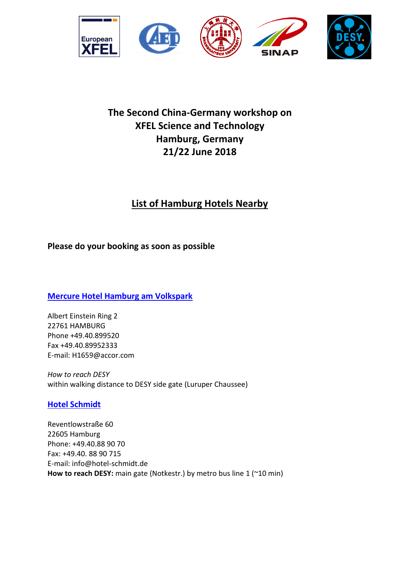

# **The Second China-Germany workshop on XFEL Science and Technology Hamburg, Germany 21/22 June 2018**

# **List of Hamburg Hotels Nearby**

## **Please do your booking as soon as possible**

**[Mercure Hotel Hamburg am Volkspark](http://www.accorhotels.com/gb/hotel-1659-mercure-hotel-hamburg-am-volkspark-ex-novotel-hamburg-arena/index.shtml)**

Albert Einstein Ring 2 22761 HAMBURG Phone +49.40.899520 Fax +49.40.89952333 E-mail: H1659@accor.com

*How to reach DESY* within walking distance to DESY side gate (Luruper Chaussee)

## **[Hotel Schmidt](http://www.hotel-schmidt.de/)**

Reventlowstraße 60 22605 Hamburg Phone: +49.40.88 90 70 Fax: +49.40. 88 90 715 E-mail: info@hotel-schmidt.de **How to reach DESY:** main gate (Notkestr.) by metro bus line 1 (~10 min)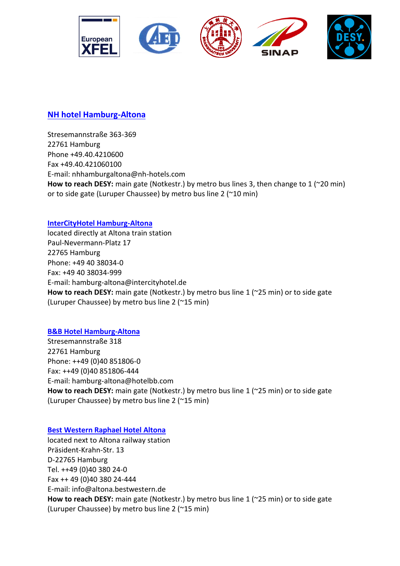

## **[NH hotel Hamburg-Altona](http://www.nh-hotels.de/hotel/nh-hamburg-altona?nhagentid=10168&nhsubagentid=101680000000&oodc=27_17568&source=adwords&gclid=CP2T44CFlsUCFe_LtAodBX0AHA&dclid=COiF7oCFlsUCFUp_fAod2BwAjw)**

Stresemannstraße 363-369 22761 Hamburg Phone +49.40.4210600 Fax +49.40.421060100 E-mail: nhhamburgaltona@nh-hotels.com **How to reach DESY:** main gate (Notkestr.) by metro bus lines 3, then change to 1 (~20 min) or to side gate (Luruper Chaussee) by metro bus line 2 (~10 min)

### **[InterCityHotel Hamburg-Altona](http://de.intercityhotel.com/Hamburg/InterCityHotel-Hamburg-Altona?wt_mc=ich.sem.google.adwords_ich_shg.rl_hamburg_altona.link.link&scid=106324&cid=91601&tc=15042710144158427&rl_key=63afb4307bc035e78af6ef389520fea4&kw=11282326&pub_cr_id=51200447451&dynamic_proxy=1&primary_serv=de.intercityhotel.com&rl_track_landing_pages=1)**

located directly at Altona train station Paul-Nevermann-Platz 17 22765 Hamburg Phone: +49 40 38034-0 Fax: +49 40 38034-999 E-mail: hamburg-altona@intercityhotel.de **How to reach DESY:** main gate (Notkestr.) by metro bus line 1 (~25 min) or to side gate (Luruper Chaussee) by metro bus line 2 (~15 min)

### **[B&B Hotel Hamburg-Altona](https://www.hotelbb.de/de/hamburg-altona)**

Stresemannstraße 318 22761 Hamburg Phone: ++49 (0)40 851806-0 Fax: ++49 (0)40 851806-444 E-mail: hamburg-altona@hotelbb.com **How to reach DESY:** main gate (Notkestr.) by metro bus line 1 (~25 min) or to side gate (Luruper Chaussee) by metro bus line 2 (~15 min)

### **[Best Western Raphael Hotel Altona](http://www.bestwestern.de/hotels/Hamburg/BEST-WESTERN-Raphael-Hotel-Altona)**

located next to Altona railway station Präsident-Krahn-Str. 13 D-22765 Hamburg Tel. ++49 (0)40 380 24-0 Fax ++ 49 (0)40 380 24-444 E-mail: info@altona.bestwestern.de **How to reach DESY:** main gate (Notkestr.) by metro bus line 1 (~25 min) or to side gate (Luruper Chaussee) by metro bus line 2 (~15 min)